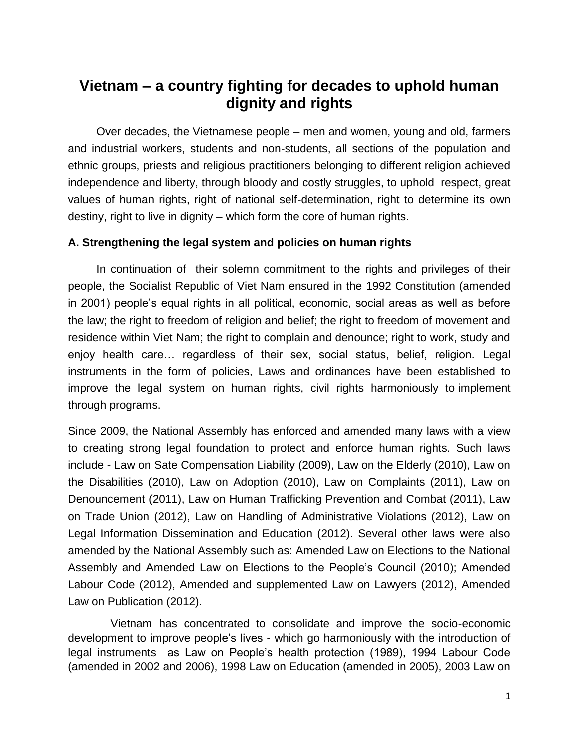# **Vietnam – a country fighting for decades to uphold human dignity and rights**

 Over decades, the Vietnamese people – men and women, young and old, farmers and industrial workers, students and non-students, all sections of the population and ethnic groups, priests and religious practitioners belonging to different religion achieved independence and liberty, through bloody and costly struggles, to uphold respect, great values of human rights, right of national self-determination, right to determine its own destiny, right to live in dignity – which form the core of human rights.

## **A. Strengthening the legal system and policies on human rights**

 In continuation of their solemn commitment to the rights and privileges of their people, the Socialist Republic of Viet Nam ensured in the 1992 Constitution (amended in 2001) people's equal rights in all political, economic, social areas as well as before the law; the right to freedom of religion and belief; the right to freedom of movement and residence within Viet Nam; the right to complain and denounce; right to work, study and enjoy health care… regardless of their sex, social status, belief, religion. Legal instruments in the form of policies, Laws and ordinances have been established to improve the legal system on human rights, civil rights harmoniously to implement through programs.

Since 2009, the National Assembly has enforced and amended many laws with a view to creating strong legal foundation to protect and enforce human rights. Such laws include - Law on Sate Compensation Liability (2009), Law on the Elderly (2010), Law on the Disabilities (2010), Law on Adoption (2010), Law on Complaints (2011), Law on Denouncement (2011), Law on Human Trafficking Prevention and Combat (2011), Law on Trade Union (2012), Law on Handling of Administrative Violations (2012), Law on Legal Information Dissemination and Education (2012). Several other laws were also amended by the National Assembly such as: Amended Law on Elections to the National Assembly and Amended Law on Elections to the People's Council (2010); Amended Labour Code (2012), Amended and supplemented Law on Lawyers (2012), Amended Law on Publication (2012).

Vietnam has concentrated to consolidate and improve the socio-economic development to improve people's lives - which go harmoniously with the introduction of legal instruments as Law on People's health protection (1989), 1994 Labour Code (amended in 2002 and 2006), 1998 Law on Education (amended in 2005), 2003 Law on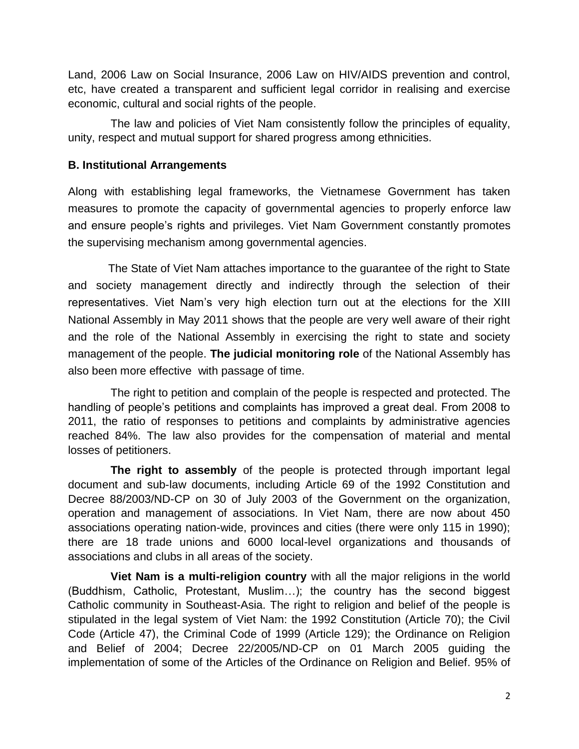Land, 2006 Law on Social Insurance, 2006 Law on HIV/AIDS prevention and control, etc, have created a transparent and sufficient legal corridor in realising and exercise economic, cultural and social rights of the people.

The law and policies of Viet Nam consistently follow the principles of equality, unity, respect and mutual support for shared progress among ethnicities.

# **B. Institutional Arrangements**

Along with establishing legal frameworks, the Vietnamese Government has taken measures to promote the capacity of governmental agencies to properly enforce law and ensure people's rights and privileges. Viet Nam Government constantly promotes the supervising mechanism among governmental agencies.

The State of Viet Nam attaches importance to the guarantee of the right to State and society management directly and indirectly through the selection of their representatives. Viet Nam's very high election turn out at the elections for the XIII National Assembly in May 2011 shows that the people are very well aware of their right and the role of the National Assembly in exercising the right to state and society management of the people. **The judicial monitoring role** of the National Assembly has also been more effective with passage of time.

The right to petition and complain of the people is respected and protected. The handling of people's petitions and complaints has improved a great deal. From 2008 to 2011, the ratio of responses to petitions and complaints by administrative agencies reached 84%. The law also provides for the compensation of material and mental losses of petitioners.

**The right to assembly** of the people is protected through important legal document and sub-law documents, including Article 69 of the 1992 Constitution and Decree 88/2003/ND-CP on 30 of July 2003 of the Government on the organization, operation and management of associations. In Viet Nam, there are now about 450 associations operating nation-wide, provinces and cities (there were only 115 in 1990); there are 18 trade unions and 6000 local-level organizations and thousands of associations and clubs in all areas of the society.

**Viet Nam is a multi-religion country** with all the major religions in the world (Buddhism, Catholic, Protestant, Muslim…); the country has the second biggest Catholic community in Southeast-Asia. The right to religion and belief of the people is stipulated in the legal system of Viet Nam: the 1992 Constitution (Article 70); the Civil Code (Article 47), the Criminal Code of 1999 (Article 129); the Ordinance on Religion and Belief of 2004; Decree 22/2005/ND-CP on 01 March 2005 guiding the implementation of some of the Articles of the Ordinance on Religion and Belief. 95% of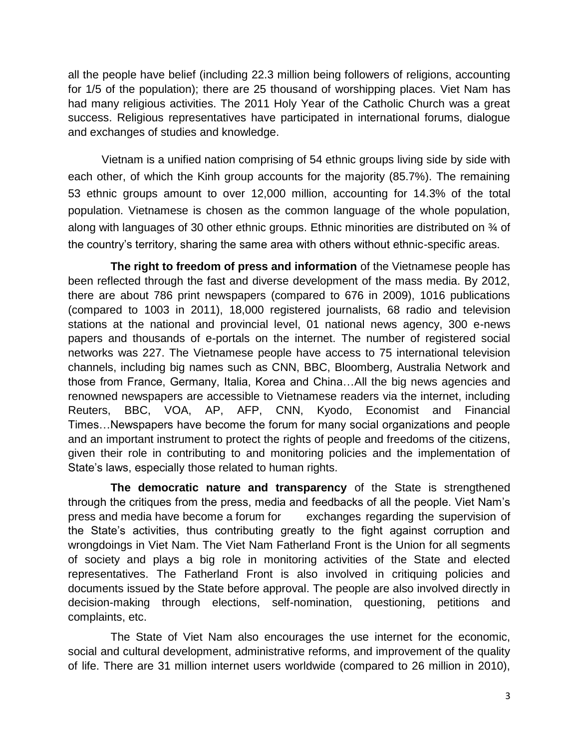all the people have belief (including 22.3 million being followers of religions, accounting for 1/5 of the population); there are 25 thousand of worshipping places. Viet Nam has had many religious activities. The 2011 Holy Year of the Catholic Church was a great success. Religious representatives have participated in international forums, dialogue and exchanges of studies and knowledge.

Vietnam is a unified nation comprising of 54 ethnic groups living side by side with each other, of which the Kinh group accounts for the majority (85.7%). The remaining 53 ethnic groups amount to over 12,000 million, accounting for 14.3% of the total population. Vietnamese is chosen as the common language of the whole population, along with languages of 30 other ethnic groups. Ethnic minorities are distributed on ¾ of the country's territory, sharing the same area with others without ethnic-specific areas.

**The right to freedom of press and information** of the Vietnamese people has been reflected through the fast and diverse development of the mass media. By 2012, there are about 786 print newspapers (compared to 676 in 2009), 1016 publications (compared to 1003 in 2011), 18,000 registered journalists, 68 radio and television stations at the national and provincial level, 01 national news agency, 300 e-news papers and thousands of e-portals on the internet. The number of registered social networks was 227. The Vietnamese people have access to 75 international television channels, including big names such as CNN, BBC, Bloomberg, Australia Network and those from France, Germany, Italia, Korea and China…All the big news agencies and renowned newspapers are accessible to Vietnamese readers via the internet, including Reuters, BBC, VOA, AP, AFP, CNN, Kyodo, Economist and Financial Times…Newspapers have become the forum for many social organizations and people and an important instrument to protect the rights of people and freedoms of the citizens, given their role in contributing to and monitoring policies and the implementation of State's laws, especially those related to human rights.

**The democratic nature and transparency** of the State is strengthened through the critiques from the press, media and feedbacks of all the people. Viet Nam's press and media have become a forum for exchanges regarding the supervision of the State's activities, thus contributing greatly to the fight against corruption and wrongdoings in Viet Nam. The Viet Nam Fatherland Front is the Union for all segments of society and plays a big role in monitoring activities of the State and elected representatives. The Fatherland Front is also involved in critiquing policies and documents issued by the State before approval. The people are also involved directly in decision-making through elections, self-nomination, questioning, petitions and complaints, etc.

The State of Viet Nam also encourages the use internet for the economic, social and cultural development, administrative reforms, and improvement of the quality of life. There are 31 million internet users worldwide (compared to 26 million in 2010),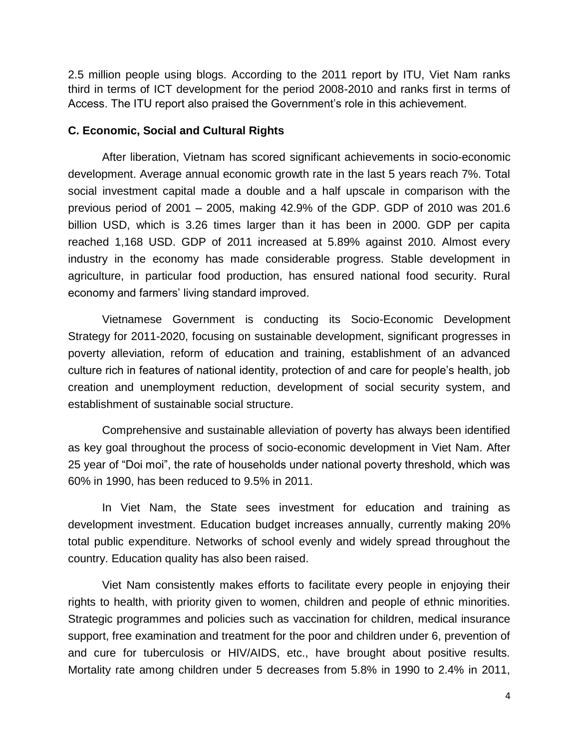2.5 million people using blogs. According to the 2011 report by ITU, Viet Nam ranks third in terms of ICT development for the period 2008-2010 and ranks first in terms of Access. The ITU report also praised the Government's role in this achievement.

### **C. Economic, Social and Cultural Rights**

After liberation, Vietnam has scored significant achievements in socio-economic development. Average annual economic growth rate in the last 5 years reach 7%. Total social investment capital made a double and a half upscale in comparison with the previous period of 2001 – 2005, making 42.9% of the GDP. GDP of 2010 was 201.6 billion USD, which is 3.26 times larger than it has been in 2000. GDP per capita reached 1,168 USD. GDP of 2011 increased at 5.89% against 2010. Almost every industry in the economy has made considerable progress. Stable development in agriculture, in particular food production, has ensured national food security. Rural economy and farmers' living standard improved.

Vietnamese Government is conducting its Socio-Economic Development Strategy for 2011-2020, focusing on sustainable development, significant progresses in poverty alleviation, reform of education and training, establishment of an advanced culture rich in features of national identity, protection of and care for people's health, job creation and unemployment reduction, development of social security system, and establishment of sustainable social structure.

Comprehensive and sustainable alleviation of poverty has always been identified as key goal throughout the process of socio-economic development in Viet Nam. After 25 year of "Doi moi", the rate of households under national poverty threshold, which was 60% in 1990, has been reduced to 9.5% in 2011.

In Viet Nam, the State sees investment for education and training as development investment. Education budget increases annually, currently making 20% total public expenditure. Networks of school evenly and widely spread throughout the country. Education quality has also been raised.

Viet Nam consistently makes efforts to facilitate every people in enjoying their rights to health, with priority given to women, children and people of ethnic minorities. Strategic programmes and policies such as vaccination for children, medical insurance support, free examination and treatment for the poor and children under 6, prevention of and cure for tuberculosis or HIV/AIDS, etc., have brought about positive results. Mortality rate among children under 5 decreases from 5.8% in 1990 to 2.4% in 2011,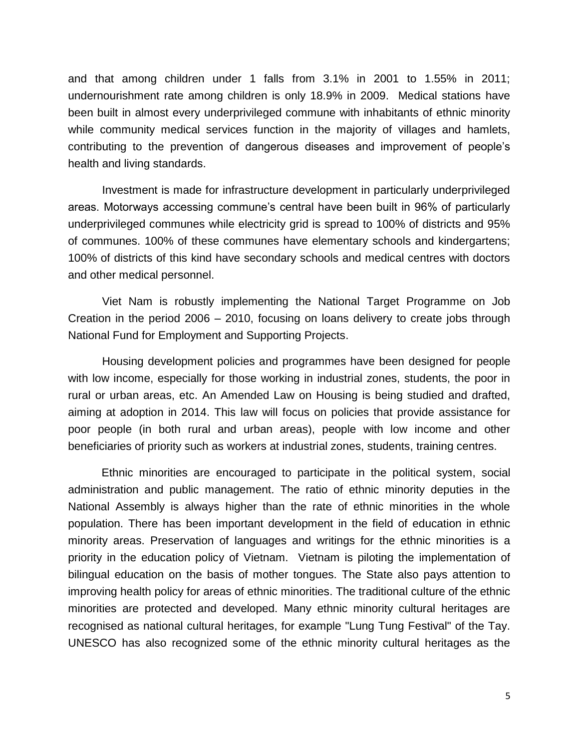and that among children under 1 falls from 3.1% in 2001 to 1.55% in 2011; undernourishment rate among children is only 18.9% in 2009. Medical stations have been built in almost every underprivileged commune with inhabitants of ethnic minority while community medical services function in the majority of villages and hamlets, contributing to the prevention of dangerous diseases and improvement of people's health and living standards.

Investment is made for infrastructure development in particularly underprivileged areas. Motorways accessing commune's central have been built in 96% of particularly underprivileged communes while electricity grid is spread to 100% of districts and 95% of communes. 100% of these communes have elementary schools and kindergartens; 100% of districts of this kind have secondary schools and medical centres with doctors and other medical personnel.

Viet Nam is robustly implementing the National Target Programme on Job Creation in the period 2006 – 2010, focusing on loans delivery to create jobs through National Fund for Employment and Supporting Projects.

Housing development policies and programmes have been designed for people with low income, especially for those working in industrial zones, students, the poor in rural or urban areas, etc. An Amended Law on Housing is being studied and drafted, aiming at adoption in 2014. This law will focus on policies that provide assistance for poor people (in both rural and urban areas), people with low income and other beneficiaries of priority such as workers at industrial zones, students, training centres.

Ethnic minorities are encouraged to participate in the political system, social administration and public management. The ratio of ethnic minority deputies in the National Assembly is always higher than the rate of ethnic minorities in the whole population. There has been important development in the field of education in ethnic minority areas. Preservation of languages and writings for the ethnic minorities is a priority in the education policy of Vietnam. Vietnam is piloting the implementation of bilingual education on the basis of mother tongues. The State also pays attention to improving health policy for areas of ethnic minorities. The traditional culture of the ethnic minorities are protected and developed. Many ethnic minority cultural heritages are recognised as national cultural heritages, for example "Lung Tung Festival" of the Tay. UNESCO has also recognized some of the ethnic minority cultural heritages as the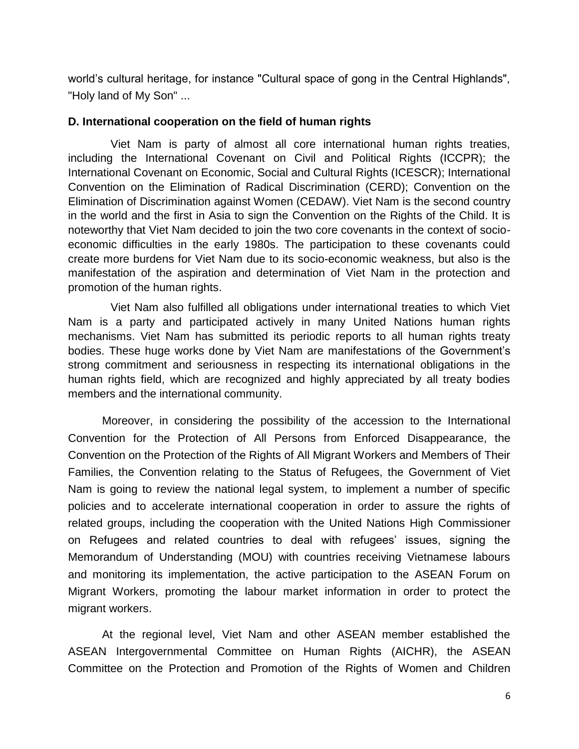world's cultural heritage, for instance "Cultural space of gong in the Central Highlands", "Holy land of My Son" ...

## **D. International cooperation on the field of human rights**

Viet Nam is party of almost all core international human rights treaties, including the International Covenant on Civil and Political Rights (ICCPR); the International Covenant on Economic, Social and Cultural Rights (ICESCR); International Convention on the Elimination of Radical Discrimination (CERD); Convention on the Elimination of Discrimination against Women (CEDAW). Viet Nam is the second country in the world and the first in Asia to sign the Convention on the Rights of the Child. It is noteworthy that Viet Nam decided to join the two core covenants in the context of socioeconomic difficulties in the early 1980s. The participation to these covenants could create more burdens for Viet Nam due to its socio-economic weakness, but also is the manifestation of the aspiration and determination of Viet Nam in the protection and promotion of the human rights.

Viet Nam also fulfilled all obligations under international treaties to which Viet Nam is a party and participated actively in many United Nations human rights mechanisms. Viet Nam has submitted its periodic reports to all human rights treaty bodies. These huge works done by Viet Nam are manifestations of the Government's strong commitment and seriousness in respecting its international obligations in the human rights field, which are recognized and highly appreciated by all treaty bodies members and the international community.

Moreover, in considering the possibility of the accession to the International Convention for the Protection of All Persons from Enforced Disappearance, the Convention on the Protection of the Rights of All Migrant Workers and Members of Their Families, the Convention relating to the Status of Refugees, the Government of Viet Nam is going to review the national legal system, to implement a number of specific policies and to accelerate international cooperation in order to assure the rights of related groups, including the cooperation with the United Nations High Commissioner on Refugees and related countries to deal with refugees' issues, signing the Memorandum of Understanding (MOU) with countries receiving Vietnamese labours and monitoring its implementation, the active participation to the ASEAN Forum on Migrant Workers, promoting the labour market information in order to protect the migrant workers.

At the regional level, Viet Nam and other ASEAN member established the ASEAN Intergovernmental Committee on Human Rights (AICHR), the ASEAN Committee on the Protection and Promotion of the Rights of Women and Children